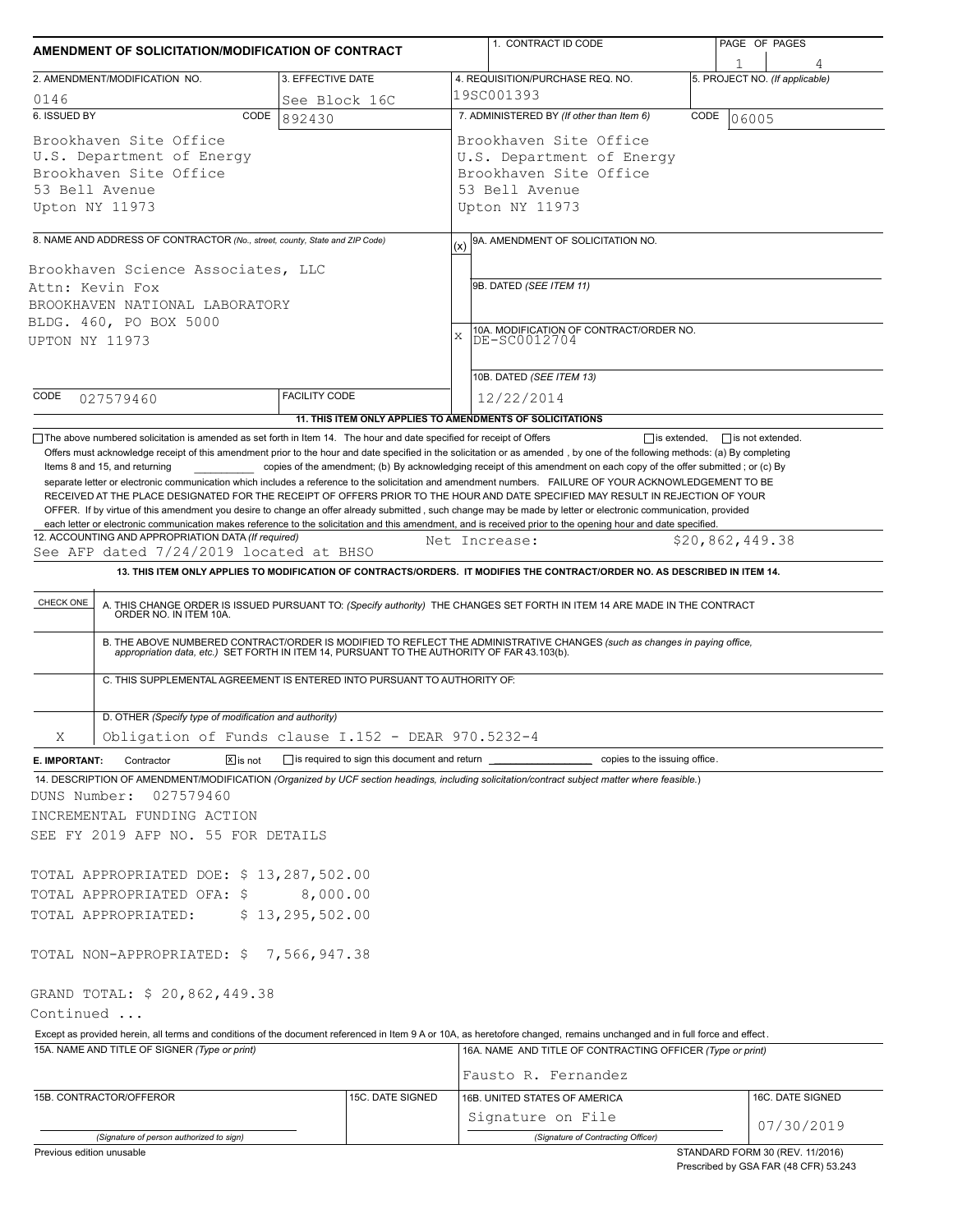| AMENDMENT OF SOLICITATION/MODIFICATION OF CONTRACT                                                                |                                                                                                                                                                                                                                                          |                                                                                  | 1. CONTRACT ID CODE                                                                                                                                                                                                                                                                                                                                                                                                                                                                                                                                                                                                                                                                                                                                                                                                                   | PAGE OF PAGES                       |  |  |  |
|-------------------------------------------------------------------------------------------------------------------|----------------------------------------------------------------------------------------------------------------------------------------------------------------------------------------------------------------------------------------------------------|----------------------------------------------------------------------------------|---------------------------------------------------------------------------------------------------------------------------------------------------------------------------------------------------------------------------------------------------------------------------------------------------------------------------------------------------------------------------------------------------------------------------------------------------------------------------------------------------------------------------------------------------------------------------------------------------------------------------------------------------------------------------------------------------------------------------------------------------------------------------------------------------------------------------------------|-------------------------------------|--|--|--|
|                                                                                                                   | 2. AMENDMENT/MODIFICATION NO.                                                                                                                                                                                                                            | 3. EFFECTIVE DATE                                                                | 4. REQUISITION/PURCHASE REQ. NO.                                                                                                                                                                                                                                                                                                                                                                                                                                                                                                                                                                                                                                                                                                                                                                                                      | 1<br>5. PROJECT NO. (If applicable) |  |  |  |
| 0146                                                                                                              |                                                                                                                                                                                                                                                          | See Block 16C                                                                    | 19SC001393                                                                                                                                                                                                                                                                                                                                                                                                                                                                                                                                                                                                                                                                                                                                                                                                                            |                                     |  |  |  |
| 6. ISSUED BY                                                                                                      | CODE                                                                                                                                                                                                                                                     | 892430                                                                           | 7. ADMINISTERED BY (If other than Item 6)                                                                                                                                                                                                                                                                                                                                                                                                                                                                                                                                                                                                                                                                                                                                                                                             | CODE<br>106005                      |  |  |  |
| Brookhaven Site Office<br>U.S. Department of Energy<br>Brookhaven Site Office<br>53 Bell Avenue<br>Upton NY 11973 |                                                                                                                                                                                                                                                          |                                                                                  | Brookhaven Site Office<br>U.S. Department of Energy<br>Brookhaven Site Office<br>53 Bell Avenue<br>Upton NY 11973                                                                                                                                                                                                                                                                                                                                                                                                                                                                                                                                                                                                                                                                                                                     |                                     |  |  |  |
|                                                                                                                   |                                                                                                                                                                                                                                                          |                                                                                  |                                                                                                                                                                                                                                                                                                                                                                                                                                                                                                                                                                                                                                                                                                                                                                                                                                       |                                     |  |  |  |
| Attn: Kevin Fox<br>UPTON NY 11973                                                                                 | 8. NAME AND ADDRESS OF CONTRACTOR (No., street, county, State and ZIP Code)<br>Brookhaven Science Associates, LLC<br>BROOKHAVEN NATIONAL LABORATORY<br>BLDG. 460, PO BOX 5000                                                                            |                                                                                  | 9A. AMENDMENT OF SOLICITATION NO.<br>(x)<br>9B. DATED (SEE ITEM 11)<br>10A. MODIFICATION OF CONTRACT/ORDER NO.<br>X<br>DE-SC0012704                                                                                                                                                                                                                                                                                                                                                                                                                                                                                                                                                                                                                                                                                                   |                                     |  |  |  |
| CODE                                                                                                              |                                                                                                                                                                                                                                                          | <b>FACILITY CODE</b>                                                             | 10B. DATED (SEE ITEM 13)                                                                                                                                                                                                                                                                                                                                                                                                                                                                                                                                                                                                                                                                                                                                                                                                              |                                     |  |  |  |
|                                                                                                                   | 027579460                                                                                                                                                                                                                                                |                                                                                  | 12/22/2014<br>11. THIS ITEM ONLY APPLIES TO AMENDMENTS OF SOLICITATIONS                                                                                                                                                                                                                                                                                                                                                                                                                                                                                                                                                                                                                                                                                                                                                               |                                     |  |  |  |
| CHECK ONE                                                                                                         | 12. ACCOUNTING AND APPROPRIATION DATA (If required)<br>See AFP dated 7/24/2019 located at BHSO<br>ORDER NO. IN ITEM 10A.                                                                                                                                 |                                                                                  | OFFER. If by virtue of this amendment you desire to change an offer already submitted, such change may be made by letter or electronic communication, provided<br>each letter or electronic communication makes reference to the solicitation and this amendment, and is received prior to the opening hour and date specified.<br>Net Increase:<br>13. THIS ITEM ONLY APPLIES TO MODIFICATION OF CONTRACTS/ORDERS. IT MODIFIES THE CONTRACT/ORDER NO. AS DESCRIBED IN ITEM 14.<br>A. THIS CHANGE ORDER IS ISSUED PURSUANT TO: (Specify authority) THE CHANGES SET FORTH IN ITEM 14 ARE MADE IN THE CONTRACT<br>B. THE ABOVE NUMBERED CONTRACT/ORDER IS MODIFIED TO REFLECT THE ADMINISTRATIVE CHANGES (such as changes in paying office, appropriation data, etc.) SET FORTH IN ITEM 14, PURSUANT TO THE AUTHORITY OF FAR 43.103(b). | \$20,862,449.38                     |  |  |  |
|                                                                                                                   |                                                                                                                                                                                                                                                          | C. THIS SUPPLEMENTAL AGREEMENT IS ENTERED INTO PURSUANT TO AUTHORITY OF:         |                                                                                                                                                                                                                                                                                                                                                                                                                                                                                                                                                                                                                                                                                                                                                                                                                                       |                                     |  |  |  |
|                                                                                                                   | D. OTHER (Specify type of modification and authority)                                                                                                                                                                                                    |                                                                                  |                                                                                                                                                                                                                                                                                                                                                                                                                                                                                                                                                                                                                                                                                                                                                                                                                                       |                                     |  |  |  |
| X                                                                                                                 |                                                                                                                                                                                                                                                          | Obligation of Funds clause I.152 - DEAR 970.5232-4                               |                                                                                                                                                                                                                                                                                                                                                                                                                                                                                                                                                                                                                                                                                                                                                                                                                                       |                                     |  |  |  |
| E. IMPORTANT:                                                                                                     | $\boxed{\mathsf{x}}$ is not<br>Contractor                                                                                                                                                                                                                | is required to sign this document and return ___________________________________ | copies to the issuing office.                                                                                                                                                                                                                                                                                                                                                                                                                                                                                                                                                                                                                                                                                                                                                                                                         |                                     |  |  |  |
| DUNS Number:<br>Continued                                                                                         | 027579460<br>INCREMENTAL FUNDING ACTION<br>SEE FY 2019 AFP NO. 55 FOR DETAILS<br>TOTAL APPROPRIATED DOE: \$13,287,502.00<br>TOTAL APPROPRIATED OFA: \$<br>TOTAL APPROPRIATED:<br>TOTAL NON-APPROPRIATED: \$7,566,947.38<br>GRAND TOTAL: \$ 20,862,449.38 | 8,000.00<br>\$13, 295, 502.00                                                    | 14. DESCRIPTION OF AMENDMENT/MODIFICATION (Organized by UCF section headings, including solicitation/contract subject matter where feasible.)                                                                                                                                                                                                                                                                                                                                                                                                                                                                                                                                                                                                                                                                                         |                                     |  |  |  |
|                                                                                                                   |                                                                                                                                                                                                                                                          |                                                                                  | Except as provided herein, all terms and conditions of the document referenced in Item 9 A or 10A, as heretofore changed, remains unchanged and in full force and effect.                                                                                                                                                                                                                                                                                                                                                                                                                                                                                                                                                                                                                                                             |                                     |  |  |  |
|                                                                                                                   | 15A. NAME AND TITLE OF SIGNER (Type or print)                                                                                                                                                                                                            |                                                                                  | 16A. NAME AND TITLE OF CONTRACTING OFFICER (Type or print)                                                                                                                                                                                                                                                                                                                                                                                                                                                                                                                                                                                                                                                                                                                                                                            |                                     |  |  |  |
|                                                                                                                   |                                                                                                                                                                                                                                                          |                                                                                  |                                                                                                                                                                                                                                                                                                                                                                                                                                                                                                                                                                                                                                                                                                                                                                                                                                       |                                     |  |  |  |
|                                                                                                                   |                                                                                                                                                                                                                                                          |                                                                                  | Fausto R. Fernandez                                                                                                                                                                                                                                                                                                                                                                                                                                                                                                                                                                                                                                                                                                                                                                                                                   |                                     |  |  |  |
| 15B. CONTRACTOR/OFFEROR                                                                                           |                                                                                                                                                                                                                                                          | 15C. DATE SIGNED                                                                 | 16B. UNITED STATES OF AMERICA<br>Signature on File                                                                                                                                                                                                                                                                                                                                                                                                                                                                                                                                                                                                                                                                                                                                                                                    | 16C. DATE SIGNED<br>07/30/2019      |  |  |  |

Prescribed by GSA FAR (48 CFR) 53.243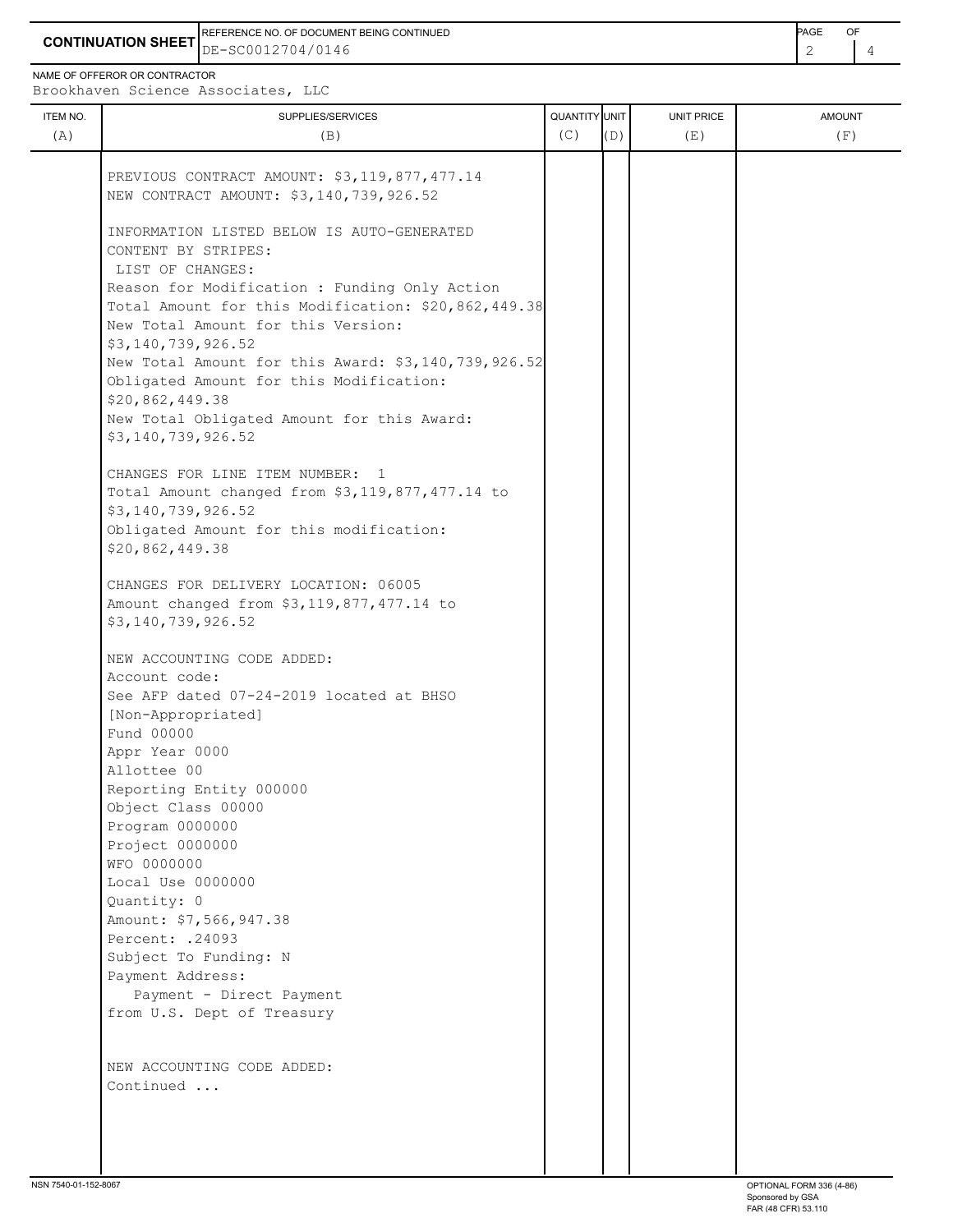**CONTINUATION SHEET** DE-SC0012704/0146 REFERENCE NO. OF DOCUMENT BEING CONTINUED **Example 2008** PAGE OF

NAME OF OFFEROR OR CONTRACTOR

Brookhaven Science Associates, LLC

| ITEM NO. | SUPPLIES/SERVICES                                                                                    | QUANTITY UNIT |     | UNIT PRICE | <b>AMOUNT</b> |
|----------|------------------------------------------------------------------------------------------------------|---------------|-----|------------|---------------|
| (A)      | (B)                                                                                                  | (C)           | (D) | (E)        | (F)           |
|          |                                                                                                      |               |     |            |               |
|          | PREVIOUS CONTRACT AMOUNT: \$3,119,877,477.14                                                         |               |     |            |               |
|          | NEW CONTRACT AMOUNT: \$3,140,739,926.52                                                              |               |     |            |               |
|          |                                                                                                      |               |     |            |               |
|          | INFORMATION LISTED BELOW IS AUTO-GENERATED                                                           |               |     |            |               |
|          | CONTENT BY STRIPES:                                                                                  |               |     |            |               |
|          | LIST OF CHANGES:                                                                                     |               |     |            |               |
|          | Reason for Modification : Funding Only Action<br>Total Amount for this Modification: \$20,862,449.38 |               |     |            |               |
|          | New Total Amount for this Version:                                                                   |               |     |            |               |
|          | \$3,140,739,926.52                                                                                   |               |     |            |               |
|          | New Total Amount for this Award: \$3,140,739,926.52                                                  |               |     |            |               |
|          | Obligated Amount for this Modification:                                                              |               |     |            |               |
|          | \$20,862,449.38                                                                                      |               |     |            |               |
|          | New Total Obligated Amount for this Award:                                                           |               |     |            |               |
|          | \$3,140,739,926.52                                                                                   |               |     |            |               |
|          |                                                                                                      |               |     |            |               |
|          | CHANGES FOR LINE ITEM NUMBER: 1                                                                      |               |     |            |               |
|          | Total Amount changed from \$3,119,877,477.14 to                                                      |               |     |            |               |
|          | \$3,140,739,926.52<br>Obligated Amount for this modification:                                        |               |     |            |               |
|          | \$20,862,449.38                                                                                      |               |     |            |               |
|          |                                                                                                      |               |     |            |               |
|          | CHANGES FOR DELIVERY LOCATION: 06005                                                                 |               |     |            |               |
|          | Amount changed from \$3,119,877,477.14 to                                                            |               |     |            |               |
|          | \$3,140,739,926.52                                                                                   |               |     |            |               |
|          | NEW ACCOUNTING CODE ADDED:                                                                           |               |     |            |               |
|          | Account code:                                                                                        |               |     |            |               |
|          | See AFP dated 07-24-2019 located at BHSO                                                             |               |     |            |               |
|          | [Non-Appropriated]                                                                                   |               |     |            |               |
|          | Fund 00000                                                                                           |               |     |            |               |
|          | Appr Year 0000                                                                                       |               |     |            |               |
|          | Allottee 00                                                                                          |               |     |            |               |
|          | Reporting Entity 000000                                                                              |               |     |            |               |
|          | Object Class 00000                                                                                   |               |     |            |               |
|          | Program 0000000                                                                                      |               |     |            |               |
|          | Project 0000000<br>WFO 0000000                                                                       |               |     |            |               |
|          | Local Use 0000000                                                                                    |               |     |            |               |
|          | Quantity: 0                                                                                          |               |     |            |               |
|          | Amount: \$7,566,947.38                                                                               |               |     |            |               |
|          | Percent: .24093                                                                                      |               |     |            |               |
|          | Subject To Funding: N                                                                                |               |     |            |               |
|          | Payment Address:                                                                                     |               |     |            |               |
|          | Payment - Direct Payment                                                                             |               |     |            |               |
|          | from U.S. Dept of Treasury                                                                           |               |     |            |               |
|          |                                                                                                      |               |     |            |               |
|          | NEW ACCOUNTING CODE ADDED:                                                                           |               |     |            |               |
|          | Continued                                                                                            |               |     |            |               |
|          |                                                                                                      |               |     |            |               |
|          |                                                                                                      |               |     |            |               |
|          |                                                                                                      |               |     |            |               |
|          |                                                                                                      |               |     |            |               |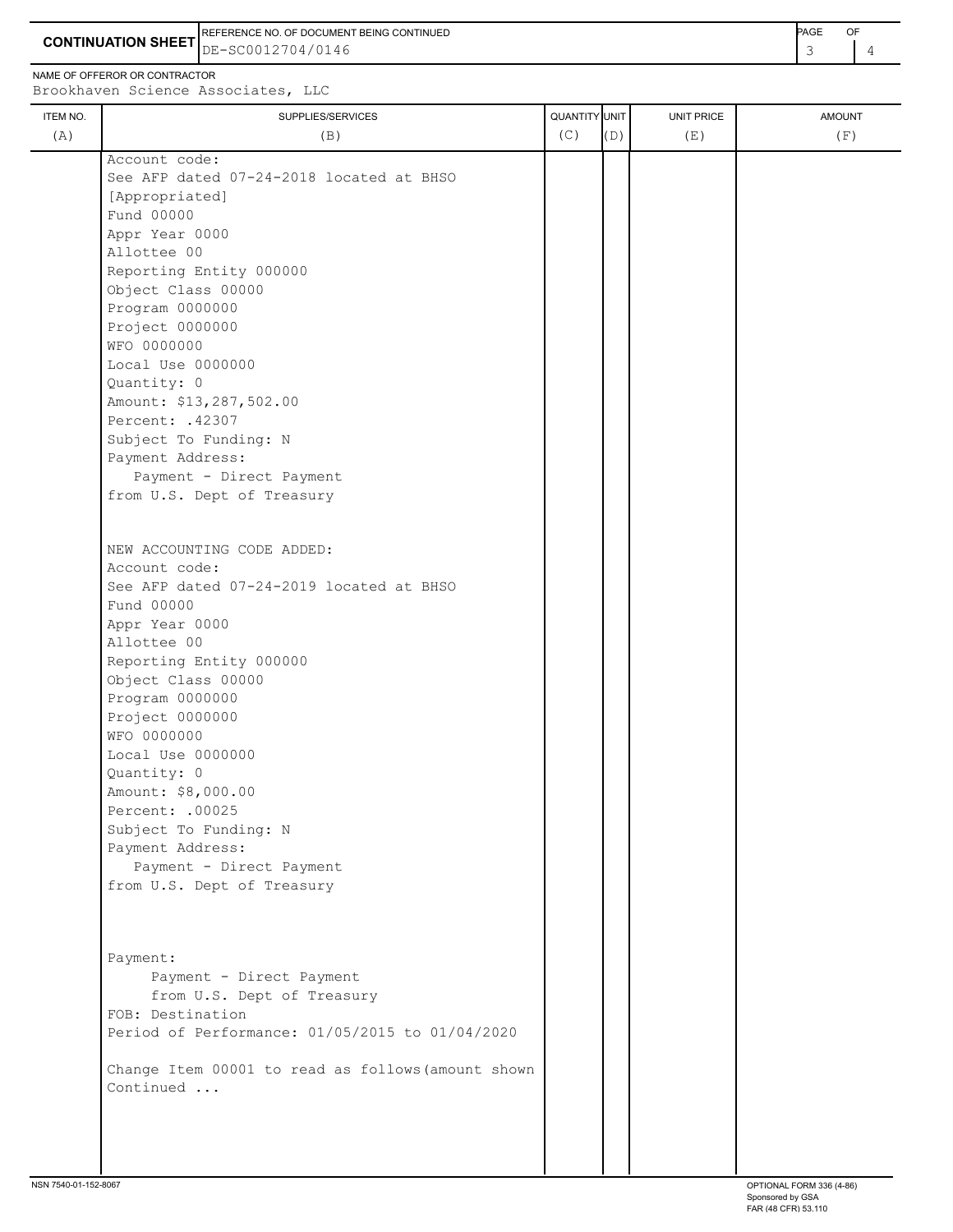**CONTINUATION SHEET** DE-SC0012704/0146 **And the set of the set of the set of the set of the set of the set of the set of the set of the set of the set of the set of the set of the set of the set of the set of the set of th** REFERENCE NO. OF DOCUMENT BEING CONTINUED **A CONTINUED PAGE OF PAGE OF PAGE OF PAGE** 

NAME OF OFFEROR OR CONTRACTOR

 Object Class 00000 Program 0000000 Project 0000000 WFO 0000000

Local Use 0000000

Percent: .42307

Amount: \$13,287,502.00

Quantity: 0

ITEM NO. ┃ SUPPLIES/SERVICES UNIT PRICE AMOUNT Brookhaven Science Associates, LLC (A)  $(B)$  (B)  $(C)$   $(D)$  (E)  $(E)$  (F) Account code: See AFP dated 07-24-2018 located at BHSO [Appropriated] Fund 00000 Appr Year 0000 Allottee 00 Reporting Entity 000000

 Subject To Funding: N Payment Address: Payment - Direct Payment from U.S. Dept of Treasury NEW ACCOUNTING CODE ADDED: Account code: See AFP dated 07-24-2019 located at BHSO Fund 00000 Appr Year 0000 Allottee 00 Reporting Entity 000000 Object Class 00000 Program 0000000 Project 0000000 WFO 0000000 Local Use 0000000 Quantity: 0 Amount: \$8,000.00 Percent: .00025 Subject To Funding: N Payment Address: Payment - Direct Payment from U.S. Dept of Treasury

 Payment: Payment - Direct Payment from U.S. Dept of Treasury FOB: Destination Period of Performance: 01/05/2015 to 01/04/2020

 Change Item 00001 to read as follows(amount shown Continued ...